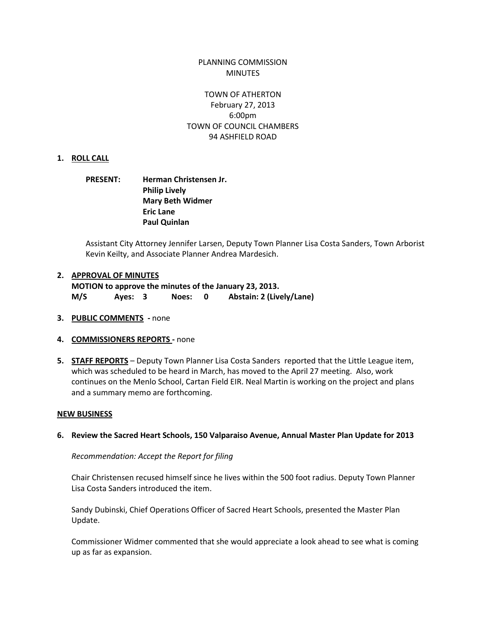## PLANNING COMMISSION MINUTES

## TOWN OF ATHERTON February 27, 2013 6:00pm TOWN OF COUNCIL CHAMBERS 94 ASHFIELD ROAD

#### **1. ROLL CALL**

## **PRESENT: Herman Christensen Jr. Philip Lively Mary Beth Widmer Eric Lane Paul Quinlan**

Assistant City Attorney Jennifer Larsen, Deputy Town Planner Lisa Costa Sanders, Town Arborist Kevin Keilty, and Associate Planner Andrea Mardesich.

#### **2. APPROVAL OF MINUTES**

**MOTION to approve the minutes of the January 23, 2013. M/S Ayes: 3 Noes: 0 Abstain: 2 (Lively/Lane)**

- **3. PUBLIC COMMENTS -** none
- **4. COMMISSIONERS REPORTS -** none
- **5. STAFF REPORTS** Deputy Town Planner Lisa Costa Sanders reported that the Little League item, which was scheduled to be heard in March, has moved to the April 27 meeting. Also, work continues on the Menlo School, Cartan Field EIR. Neal Martin is working on the project and plans and a summary memo are forthcoming.

#### **NEW BUSINESS**

#### **6. Review the Sacred Heart Schools, 150 Valparaiso Avenue, Annual Master Plan Update for 2013**

*Recommendation: Accept the Report for filing*

Chair Christensen recused himself since he lives within the 500 foot radius. Deputy Town Planner Lisa Costa Sanders introduced the item.

Sandy Dubinski, Chief Operations Officer of Sacred Heart Schools, presented the Master Plan Update.

Commissioner Widmer commented that she would appreciate a look ahead to see what is coming up as far as expansion.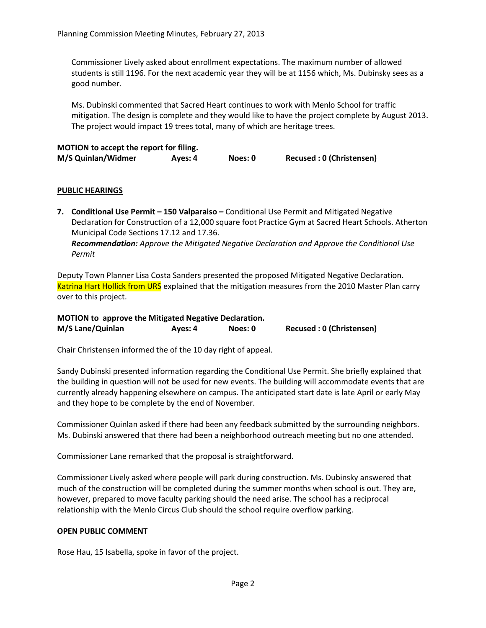Commissioner Lively asked about enrollment expectations. The maximum number of allowed students is still 1196. For the next academic year they will be at 1156 which, Ms. Dubinsky sees as a good number.

Ms. Dubinski commented that Sacred Heart continues to work with Menlo School for traffic mitigation. The design is complete and they would like to have the project complete by August 2013. The project would impact 19 trees total, many of which are heritage trees.

| MOTION to accept the report for filing. |         |         |                          |  |  |
|-----------------------------------------|---------|---------|--------------------------|--|--|
| M/S Quinlan/Widmer                      | Ayes: 4 | Noes: 0 | Recused: 0 (Christensen) |  |  |

## **PUBLIC HEARINGS**

**7. Conditional Use Permit – 150 Valparaiso –** Conditional Use Permit and Mitigated Negative Declaration for Construction of a 12,000 square foot Practice Gym at Sacred Heart Schools. Atherton Municipal Code Sections 17.12 and 17.36. *Recommendation: Approve the Mitigated Negative Declaration and Approve the Conditional Use Permit*

Deputy Town Planner Lisa Costa Sanders presented the proposed Mitigated Negative Declaration. Katrina Hart Hollick from URS explained that the mitigation measures from the 2010 Master Plan carry over to this project.

| <b>MOTION</b> to approve the Mitigated Negative Declaration. |         |         |                          |  |
|--------------------------------------------------------------|---------|---------|--------------------------|--|
| M/S Lane/Quinlan                                             | Ayes: 4 | Noes: 0 | Recused: 0 (Christensen) |  |

Chair Christensen informed the of the 10 day right of appeal.

Sandy Dubinski presented information regarding the Conditional Use Permit. She briefly explained that the building in question will not be used for new events. The building will accommodate events that are currently already happening elsewhere on campus. The anticipated start date is late April or early May and they hope to be complete by the end of November.

Commissioner Quinlan asked if there had been any feedback submitted by the surrounding neighbors. Ms. Dubinski answered that there had been a neighborhood outreach meeting but no one attended.

Commissioner Lane remarked that the proposal is straightforward.

Commissioner Lively asked where people will park during construction. Ms. Dubinsky answered that much of the construction will be completed during the summer months when school is out. They are, however, prepared to move faculty parking should the need arise. The school has a reciprocal relationship with the Menlo Circus Club should the school require overflow parking.

### **OPEN PUBLIC COMMENT**

Rose Hau, 15 Isabella, spoke in favor of the project.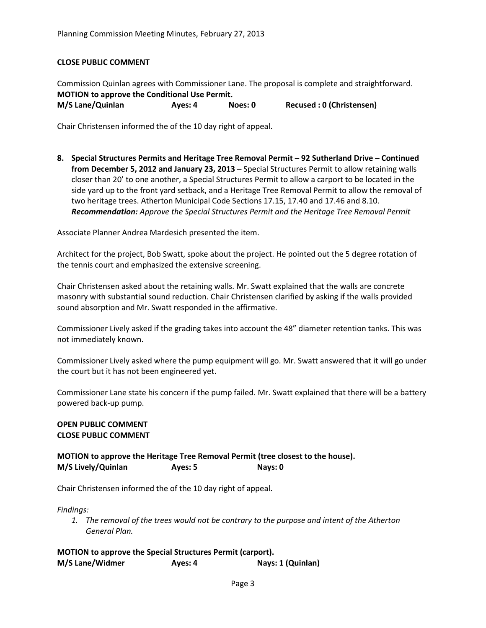### **CLOSE PUBLIC COMMENT**

Commission Quinlan agrees with Commissioner Lane. The proposal is complete and straightforward. **MOTION to approve the Conditional Use Permit. M/S Lane/Quinlan Ayes: 4 Noes: 0 Recused : 0 (Christensen)**

Chair Christensen informed the of the 10 day right of appeal.

**8. Special Structures Permits and Heritage Tree Removal Permit – 92 Sutherland Drive – Continued from December 5, 2012 and January 23, 2013 –** Special Structures Permit to allow retaining walls closer than 20' to one another, a Special Structures Permit to allow a carport to be located in the side yard up to the front yard setback, and a Heritage Tree Removal Permit to allow the removal of two heritage trees. Atherton Municipal Code Sections 17.15, 17.40 and 17.46 and 8.10. *Recommendation: Approve the Special Structures Permit and the Heritage Tree Removal Permit*

Associate Planner Andrea Mardesich presented the item.

Architect for the project, Bob Swatt, spoke about the project. He pointed out the 5 degree rotation of the tennis court and emphasized the extensive screening.

Chair Christensen asked about the retaining walls. Mr. Swatt explained that the walls are concrete masonry with substantial sound reduction. Chair Christensen clarified by asking if the walls provided sound absorption and Mr. Swatt responded in the affirmative.

Commissioner Lively asked if the grading takes into account the 48" diameter retention tanks. This was not immediately known.

Commissioner Lively asked where the pump equipment will go. Mr. Swatt answered that it will go under the court but it has not been engineered yet.

Commissioner Lane state his concern if the pump failed. Mr. Swatt explained that there will be a battery powered back-up pump.

#### **OPEN PUBLIC COMMENT CLOSE PUBLIC COMMENT**

**MOTION to approve the Heritage Tree Removal Permit (tree closest to the house). M/S Lively/Quinlan Ayes: 5 Nays: 0**

Chair Christensen informed the of the 10 day right of appeal.

*Findings:*

*1. The removal of the trees would not be contrary to the purpose and intent of the Atherton General Plan.*

**MOTION to approve the Special Structures Permit (carport). M/S Lane/Widmer Ayes: 4 Nays: 1 (Quinlan)**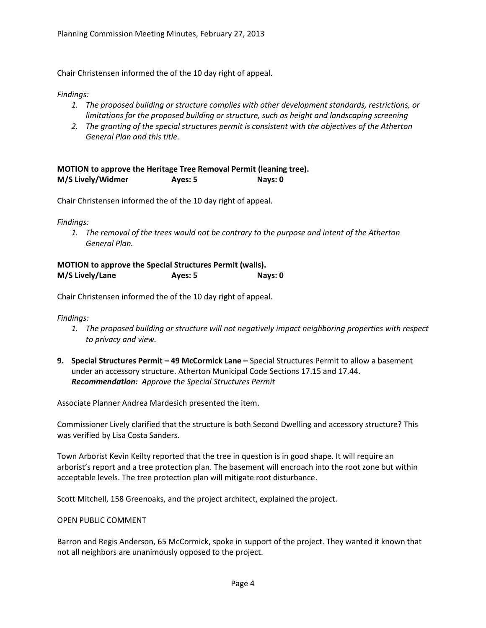Chair Christensen informed the of the 10 day right of appeal.

### *Findings:*

- *1. The proposed building or structure complies with other development standards, restrictions, or limitations for the proposed building or structure, such as height and landscaping screening*
- *2. The granting of the special structures permit is consistent with the objectives of the Atherton General Plan and this title.*

# **MOTION to approve the Heritage Tree Removal Permit (leaning tree). M/S Lively/Widmer Ayes: 5 Nays: 0**

Chair Christensen informed the of the 10 day right of appeal.

*Findings:*

*1. The removal of the trees would not be contrary to the purpose and intent of the Atherton General Plan.*

| <b>MOTION to approve the Special Structures Permit (walls).</b> |         |         |  |  |  |
|-----------------------------------------------------------------|---------|---------|--|--|--|
| M/S Lively/Lane                                                 | Ayes: 5 | Nays: 0 |  |  |  |

Chair Christensen informed the of the 10 day right of appeal.

*Findings:*

- *1. The proposed building or structure will not negatively impact neighboring properties with respect to privacy and view.*
- **9. Special Structures Permit – 49 McCormick Lane –** Special Structures Permit to allow a basement under an accessory structure. Atherton Municipal Code Sections 17.15 and 17.44. *Recommendation: Approve the Special Structures Permit*

Associate Planner Andrea Mardesich presented the item.

Commissioner Lively clarified that the structure is both Second Dwelling and accessory structure? This was verified by Lisa Costa Sanders.

Town Arborist Kevin Keilty reported that the tree in question is in good shape. It will require an arborist's report and a tree protection plan. The basement will encroach into the root zone but within acceptable levels. The tree protection plan will mitigate root disturbance.

Scott Mitchell, 158 Greenoaks, and the project architect, explained the project.

### OPEN PUBLIC COMMENT

Barron and Regis Anderson, 65 McCormick, spoke in support of the project. They wanted it known that not all neighbors are unanimously opposed to the project.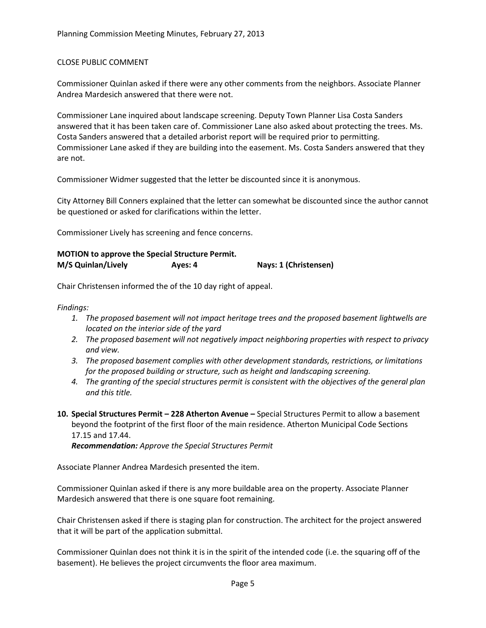### CLOSE PUBLIC COMMENT

Commissioner Quinlan asked if there were any other comments from the neighbors. Associate Planner Andrea Mardesich answered that there were not.

Commissioner Lane inquired about landscape screening. Deputy Town Planner Lisa Costa Sanders answered that it has been taken care of. Commissioner Lane also asked about protecting the trees. Ms. Costa Sanders answered that a detailed arborist report will be required prior to permitting. Commissioner Lane asked if they are building into the easement. Ms. Costa Sanders answered that they are not.

Commissioner Widmer suggested that the letter be discounted since it is anonymous.

City Attorney Bill Conners explained that the letter can somewhat be discounted since the author cannot be questioned or asked for clarifications within the letter.

Commissioner Lively has screening and fence concerns.

| <b>MOTION</b> to approve the Special Structure Permit. |         |                       |
|--------------------------------------------------------|---------|-----------------------|
| M/S Quinlan/Lively                                     | Ayes: 4 | Nays: 1 (Christensen) |

Chair Christensen informed the of the 10 day right of appeal.

*Findings:*

- *1. The proposed basement will not impact heritage trees and the proposed basement lightwells are located on the interior side of the yard*
- *2. The proposed basement will not negatively impact neighboring properties with respect to privacy and view.*
- *3. The proposed basement complies with other development standards, restrictions, or limitations for the proposed building or structure, such as height and landscaping screening.*
- *4. The granting of the special structures permit is consistent with the objectives of the general plan and this title.*
- **10. Special Structures Permit – 228 Atherton Avenue –** Special Structures Permit to allow a basement beyond the footprint of the first floor of the main residence. Atherton Municipal Code Sections 17.15 and 17.44.

*Recommendation: Approve the Special Structures Permit*

Associate Planner Andrea Mardesich presented the item.

Commissioner Quinlan asked if there is any more buildable area on the property. Associate Planner Mardesich answered that there is one square foot remaining.

Chair Christensen asked if there is staging plan for construction. The architect for the project answered that it will be part of the application submittal.

Commissioner Quinlan does not think it is in the spirit of the intended code (i.e. the squaring off of the basement). He believes the project circumvents the floor area maximum.